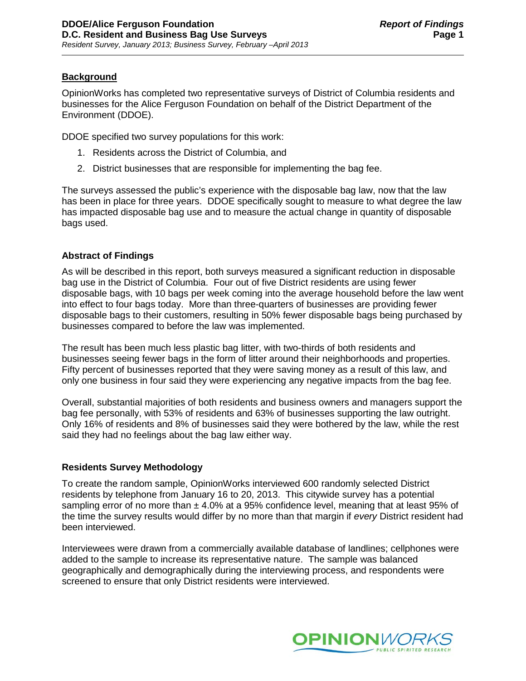# **Background**

OpinionWorks has completed two representative surveys of District of Columbia residents and businesses for the Alice Ferguson Foundation on behalf of the District Department of the Environment (DDOE).

DDOE specified two survey populations for this work:

- 1. Residents across the District of Columbia, and
- 2. District businesses that are responsible for implementing the bag fee.

The surveys assessed the public's experience with the disposable bag law, now that the law has been in place for three years. DDOE specifically sought to measure to what degree the law has impacted disposable bag use and to measure the actual change in quantity of disposable bags used.

# **Abstract of Findings**

As will be described in this report, both surveys measured a significant reduction in disposable bag use in the District of Columbia. Four out of five District residents are using fewer disposable bags, with 10 bags per week coming into the average household before the law went into effect to four bags today. More than three-quarters of businesses are providing fewer disposable bags to their customers, resulting in 50% fewer disposable bags being purchased by businesses compared to before the law was implemented.

The result has been much less plastic bag litter, with two-thirds of both residents and businesses seeing fewer bags in the form of litter around their neighborhoods and properties. Fifty percent of businesses reported that they were saving money as a result of this law, and only one business in four said they were experiencing any negative impacts from the bag fee.

Overall, substantial majorities of both residents and business owners and managers support the bag fee personally, with 53% of residents and 63% of businesses supporting the law outright. Only 16% of residents and 8% of businesses said they were bothered by the law, while the rest said they had no feelings about the bag law either way.

# **Residents Survey Methodology**

To create the random sample, OpinionWorks interviewed 600 randomly selected District residents by telephone from January 16 to 20, 2013. This citywide survey has a potential sampling error of no more than  $\pm 4.0\%$  at a 95% confidence level, meaning that at least 95% of the time the survey results would differ by no more than that margin if *every* District resident had been interviewed.

Interviewees were drawn from a commercially available database of landlines; cellphones were added to the sample to increase its representative nature. The sample was balanced geographically and demographically during the interviewing process, and respondents were screened to ensure that only District residents were interviewed.

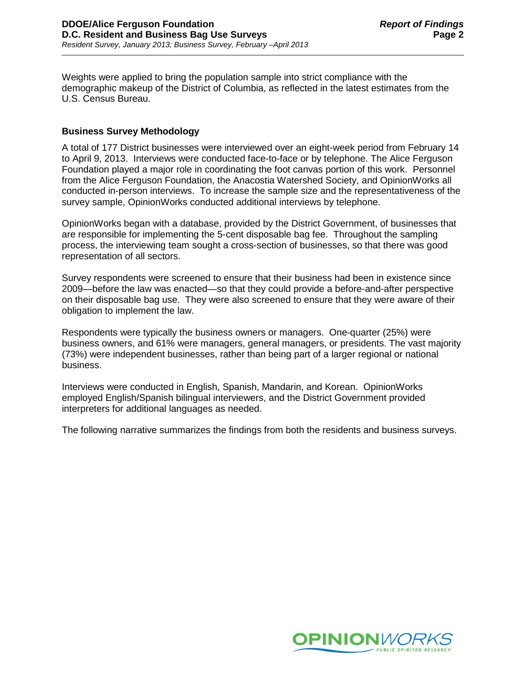Weights were applied to bring the population sample into strict compliance with the demographic makeup of the District of Columbia, as reflected in the latest estimates from the U.S. Census Bureau.

### **Business Survey Methodology**

A total of 177 District businesses were interviewed over an eight-week period from February 14 to April 9, 2013. Interviews were conducted face-to-face or by telephone. The Alice Ferguson Foundation played a major role in coordinating the foot canvas portion of this work. Personnel from the Alice Ferguson Foundation, the Anacostia Watershed Society, and OpinionWorks all conducted in-person interviews. To increase the sample size and the representativeness of the survey sample, OpinionWorks conducted additional interviews by telephone.

OpinionWorks began with a database, provided by the District Government, of businesses that are responsible for implementing the 5-cent disposable bag fee. Throughout the sampling process, the interviewing team sought a cross-section of businesses, so that there was good representation of all sectors.

Survey respondents were screened to ensure that their business had been in existence since 2009—before the law was enacted—so that they could provide a before-and-after perspective on their disposable bag use. They were also screened to ensure that they were aware of their obligation to implement the law.

Respondents were typically the business owners or managers. One-quarter (25%) were business owners, and 61% were managers, general managers, or presidents. The vast majority (73%) were independent businesses, rather than being part of a larger regional or national business.

Interviews were conducted in English, Spanish, Mandarin, and Korean. OpinionWorks employed English/Spanish bilingual interviewers, and the District Government provided interpreters for additional languages as needed.

The following narrative summarizes the findings from both the residents and business surveys.

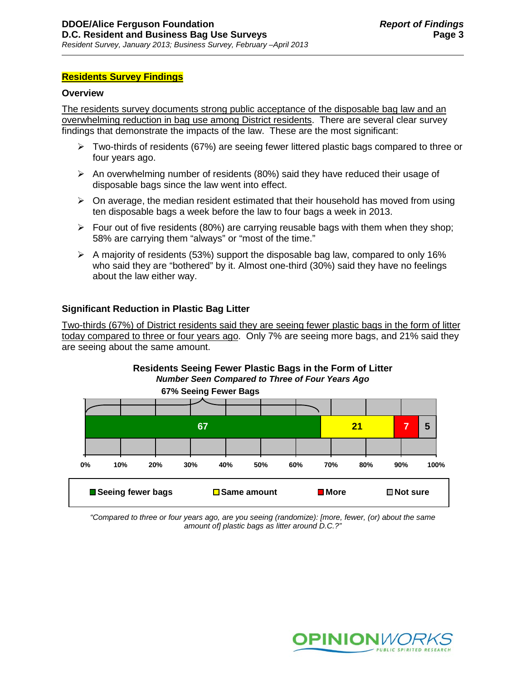### **Residents Survey Findings**

#### **Overview**

The residents survey documents strong public acceptance of the disposable bag law and an overwhelming reduction in bag use among District residents. There are several clear survey findings that demonstrate the impacts of the law. These are the most significant:

- $\triangleright$  Two-thirds of residents (67%) are seeing fewer littered plastic bags compared to three or four years ago.
- $\triangleright$  An overwhelming number of residents (80%) said they have reduced their usage of disposable bags since the law went into effect.
- $\triangleright$  On average, the median resident estimated that their household has moved from using ten disposable bags a week before the law to four bags a week in 2013.
- $\triangleright$  Four out of five residents (80%) are carrying reusable bags with them when they shop; 58% are carrying them "always" or "most of the time."
- $\triangleright$  A majority of residents (53%) support the disposable bag law, compared to only 16% who said they are "bothered" by it. Almost one-third (30%) said they have no feelings about the law either way.

### **Significant Reduction in Plastic Bag Litter**

Two-thirds (67%) of District residents said they are seeing fewer plastic bags in the form of litter today compared to three or four years ago. Only 7% are seeing more bags, and 21% said they are seeing about the same amount.





*"Compared to three or four years ago, are you seeing (randomize): [more, fewer, (or) about the same amount of] plastic bags as litter around D.C.?"* 

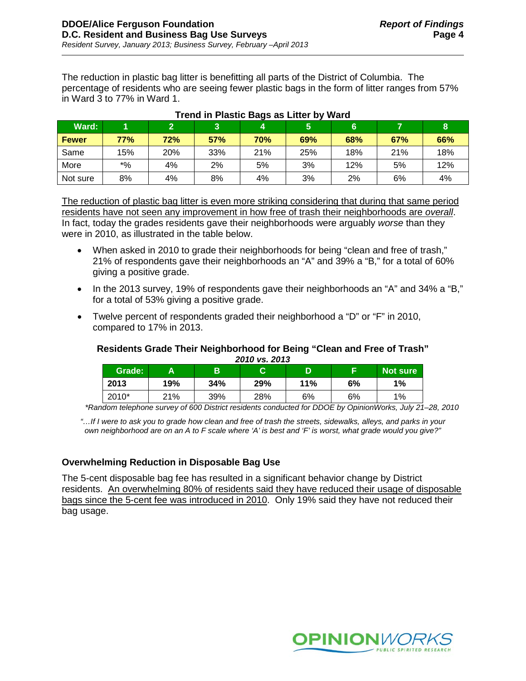The reduction in plastic bag litter is benefitting all parts of the District of Columbia. The percentage of residents who are seeing fewer plastic bags in the form of litter ranges from 57% in Ward 3 to 77% in Ward 1.

| Ward:        |            | $\bullet$ |     |     | 5   | 6   |     |     |
|--------------|------------|-----------|-----|-----|-----|-----|-----|-----|
| <b>Fewer</b> | <b>77%</b> | 72%       | 57% | 70% | 69% | 68% | 67% | 66% |
| Same         | 15%        | 20%       | 33% | 21% | 25% | 18% | 21% | 18% |
| More         | $*$ %      | 4%        | 2%  | 5%  | 3%  | 12% | 5%  | 12% |
| Not sure     | 8%         | 4%        | 8%  | 4%  | 3%  | 2%  | 6%  | 4%  |

#### **Trend in Plastic Bags as Litter by Ward**

The reduction of plastic bag litter is even more striking considering that during that same period residents have not seen any improvement in how free of trash their neighborhoods are *overall*. In fact, today the grades residents gave their neighborhoods were arguably *worse* than they were in 2010, as illustrated in the table below.

- When asked in 2010 to grade their neighborhoods for being "clean and free of trash," 21% of respondents gave their neighborhoods an "A" and 39% a "B," for a total of 60% giving a positive grade.
- In the 2013 survey, 19% of respondents gave their neighborhoods an "A" and 34% a "B," for a total of 53% giving a positive grade.
- Twelve percent of respondents graded their neighborhood a "D" or "F" in 2010, compared to 17% in 2013.

#### **Residents Grade Their Neighborhood for Being "Clean and Free of Trash"** *2010 vs. 2013*

|        |     |     | ---------- |     |    |          |
|--------|-----|-----|------------|-----|----|----------|
| Grade: |     | В   | ⌒          | D   |    | Not sure |
| 2013   | 19% | 34% | 29%        | 11% | 6% | 1%       |
| 2010*  | 21% | 39% | 28%        | 6%  | 6% | 1%       |

*\*Random telephone survey of 600 District residents conducted for DDOE by OpinionWorks, July 21–28, 2010*

*"…If I were to ask you to grade how clean and free of trash the streets, sidewalks, alleys, and parks in your own neighborhood are on an A to F scale where 'A' is best and 'F' is worst, what grade would you give?"*

# **Overwhelming Reduction in Disposable Bag Use**

The 5-cent disposable bag fee has resulted in a significant behavior change by District residents. An overwhelming 80% of residents said they have reduced their usage of disposable bags since the 5-cent fee was introduced in 2010. Only 19% said they have not reduced their bag usage.

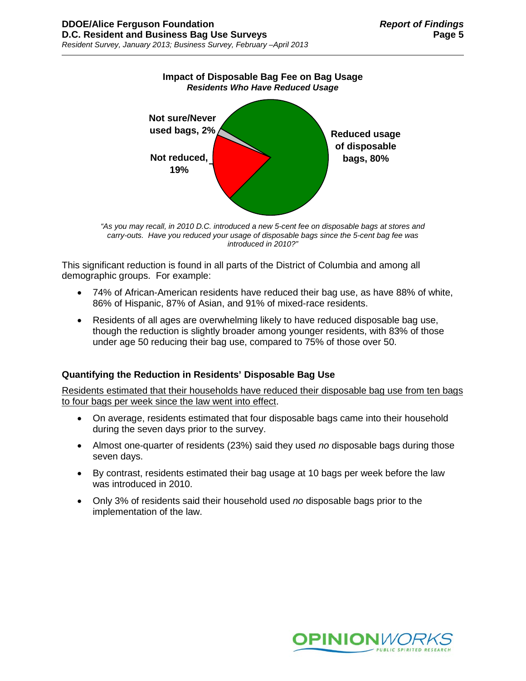

*"As you may recall, in 2010 D.C. introduced a new 5-cent fee on disposable bags at stores and carry-outs. Have you reduced your usage of disposable bags since the 5-cent bag fee was introduced in 2010?"*

This significant reduction is found in all parts of the District of Columbia and among all demographic groups. For example:

- 74% of African-American residents have reduced their bag use, as have 88% of white, 86% of Hispanic, 87% of Asian, and 91% of mixed-race residents.
- Residents of all ages are overwhelming likely to have reduced disposable bag use, though the reduction is slightly broader among younger residents, with 83% of those under age 50 reducing their bag use, compared to 75% of those over 50.

# **Quantifying the Reduction in Residents' Disposable Bag Use**

Residents estimated that their households have reduced their disposable bag use from ten bags to four bags per week since the law went into effect.

- On average, residents estimated that four disposable bags came into their household during the seven days prior to the survey.
- Almost one-quarter of residents (23%) said they used *no* disposable bags during those seven days.
- By contrast, residents estimated their bag usage at 10 bags per week before the law was introduced in 2010.
- Only 3% of residents said their household used *no* disposable bags prior to the implementation of the law.

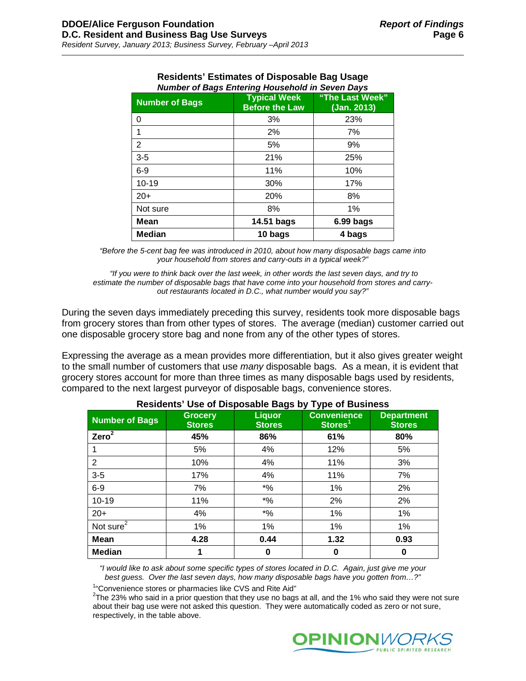| <b>Number of Bags</b> | <b>Typical Week</b><br><b>Before the Law</b> | "The Last Week"<br>(Jan. 2013) |
|-----------------------|----------------------------------------------|--------------------------------|
| 0                     | 3%                                           | 23%                            |
| 1                     | 2%                                           | 7%                             |
| 2                     | 5%                                           | 9%                             |
| $3-5$                 | 21%                                          | 25%                            |
| $6-9$                 | 11%                                          | 10%                            |
| $10 - 19$             | 30%                                          | 17%                            |
| $20+$                 | 20%                                          | 8%                             |
| Not sure              | 8%                                           | 1%                             |
| Mean                  | 14.51 bags                                   | 6.99 bags                      |
| <b>Median</b>         | 10 bags                                      | 4 bags                         |

#### **Residents' Estimates of Disposable Bag Usage** *Number of Bags Entering Household in Seven Days*

*"Before the 5-cent bag fee was introduced in 2010, about how many disposable bags came into your household from stores and carry-outs in a typical week?"*

*"If you were to think back over the last week, in other words the last seven days, and try to estimate the number of disposable bags that have come into your household from stores and carryout restaurants located in D.C., what number would you say?"*

During the seven days immediately preceding this survey, residents took more disposable bags from grocery stores than from other types of stores. The average (median) customer carried out one disposable grocery store bag and none from any of the other types of stores.

Expressing the average as a mean provides more differentiation, but it also gives greater weight to the small number of customers that use *many* disposable bags. As a mean, it is evident that grocery stores account for more than three times as many disposable bags used by residents, compared to the next largest purveyor of disposable bags, convenience stores.

| <b>Number of Bags</b> | <b>Grocery</b><br><b>Stores</b> | <b>Liquor</b><br><b>Stores</b>                | ייוני נייש<br><b>Convenience</b><br>Stores <sup>1</sup> | <b>Department</b><br><b>Stores</b> |
|-----------------------|---------------------------------|-----------------------------------------------|---------------------------------------------------------|------------------------------------|
| Zero <sup>2</sup>     | 45%                             | 86%                                           | 61%                                                     | 80%                                |
|                       | 5%                              | 4%                                            | 12%                                                     | 5%                                 |
| 2                     | 10%                             | 4%                                            | 11%                                                     | 3%                                 |
| $3-5$                 | 17%                             | 4%                                            | 11%                                                     | 7%                                 |
| $6-9$                 | 7%                              | $\boldsymbol{*}$ %                            | 1%                                                      | 2%                                 |
| $10 - 19$             | 11%                             | $\boldsymbol{^{*0}}\!\mathstrut_{\mathbf{0}}$ | 2%                                                      | 2%                                 |
| $20+$                 | 4%                              | $*9/6$                                        | 1%                                                      | 1%                                 |
| Not sure $\sqrt{2}$   | 1%                              | 1%                                            | 1%                                                      | 1%                                 |
| Mean                  | 4.28                            | 0.44                                          | 1.32                                                    | 0.93                               |
| <b>Median</b>         | 1                               | 0                                             | 0                                                       | 0                                  |

### **Residents' Use of Disposable Bags by Type of Business**

*"I would like to ask about some specific types of stores located in D.C. Again, just give me your best guess. Over the last seven days, how many disposable bags have you gotten from…?"*

<sup>1</sup> Convenience stores or pharmacies like CVS and Rite Aid"<br> $27$ be 22% who said in a prior question that they use no begu

 $2$ The 23% who said in a prior question that they use no bags at all, and the 1% who said they were not sure about their bag use were not asked this question. They were automatically coded as zero or not sure, respectively, in the table above.

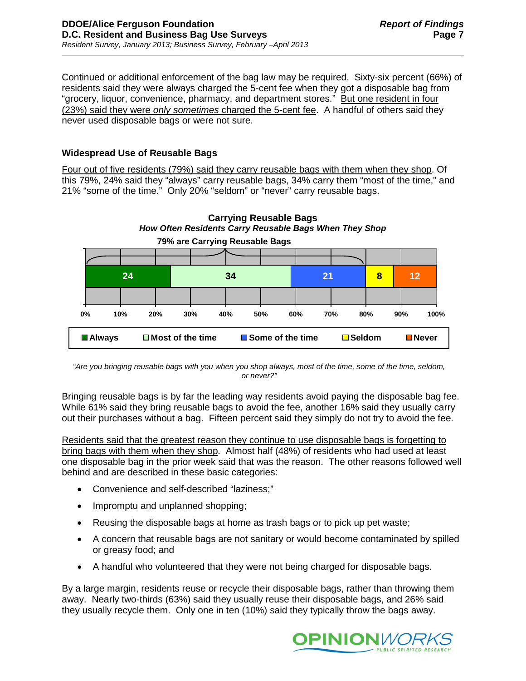Continued or additional enforcement of the bag law may be required. Sixty-six percent (66%) of residents said they were always charged the 5-cent fee when they got a disposable bag from "grocery, liquor, convenience, pharmacy, and department stores." But one resident in four (23%) said they were *only sometimes* charged the 5-cent fee. A handful of others said they never used disposable bags or were not sure.

# **Widespread Use of Reusable Bags**

Four out of five residents (79%) said they carry reusable bags with them when they shop. Of this 79%, 24% said they "always" carry reusable bags, 34% carry them "most of the time," and 21% "some of the time." Only 20% "seldom" or "never" carry reusable bags.



*"Are you bringing reusable bags with you when you shop always, most of the time, some of the time, seldom, or never?"* 

Bringing reusable bags is by far the leading way residents avoid paying the disposable bag fee. While 61% said they bring reusable bags to avoid the fee, another 16% said they usually carry out their purchases without a bag. Fifteen percent said they simply do not try to avoid the fee.

Residents said that the greatest reason they continue to use disposable bags is forgetting to bring bags with them when they shop. Almost half (48%) of residents who had used at least one disposable bag in the prior week said that was the reason. The other reasons followed well behind and are described in these basic categories:

- Convenience and self-described "laziness;"
- Impromptu and unplanned shopping;
- Reusing the disposable bags at home as trash bags or to pick up pet waste;
- A concern that reusable bags are not sanitary or would become contaminated by spilled or greasy food; and
- A handful who volunteered that they were not being charged for disposable bags.

By a large margin, residents reuse or recycle their disposable bags, rather than throwing them away. Nearly two-thirds (63%) said they usually reuse their disposable bags, and 26% said they usually recycle them. Only one in ten (10%) said they typically throw the bags away.

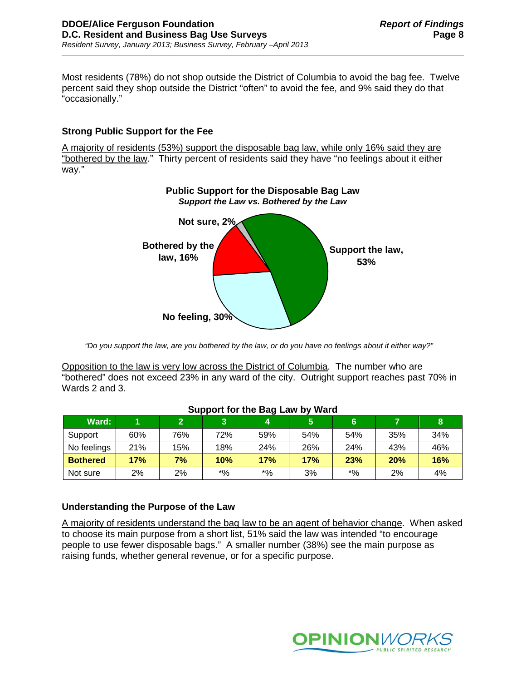Most residents (78%) do not shop outside the District of Columbia to avoid the bag fee. Twelve percent said they shop outside the District "often" to avoid the fee, and 9% said they do that "occasionally."

# **Strong Public Support for the Fee**

A majority of residents (53%) support the disposable bag law, while only 16% said they are "bothered by the law." Thirty percent of residents said they have "no feelings about it either way."



*"Do you support the law, are you bothered by the law, or do you have no feelings about it either way?"*

Opposition to the law is very low across the District of Columbia. The number who are "bothered" does not exceed 23% in any ward of the city. Outright support reaches past 70% in Wards 2 and 3.

|                 | <b>Support for the Day Law by Ward</b> |     |             |       |     |       |     |     |
|-----------------|----------------------------------------|-----|-------------|-------|-----|-------|-----|-----|
| Ward:           |                                        |     | 3           | Z.    | 5   | 6     |     | 8   |
| Support         | 60%                                    | 76% | 72%         | 59%   | 54% | 54%   | 35% | 34% |
| No feelings     | 21%                                    | 15% | 18%         | 24%   | 26% | 24%   | 43% | 46% |
| <b>Bothered</b> | 17%                                    | 7%  | 10%         | 17%   | 17% | 23%   | 20% | 16% |
| Not sure        | 2%                                     | 2%  | $^{\ast}$ % | $*$ % | 3%  | $*$ % | 2%  | 4%  |

### **Support for the Bag Law by Ward**

# **Understanding the Purpose of the Law**

A majority of residents understand the bag law to be an agent of behavior change. When asked to choose its main purpose from a short list, 51% said the law was intended "to encourage people to use fewer disposable bags." A smaller number (38%) see the main purpose as raising funds, whether general revenue, or for a specific purpose.

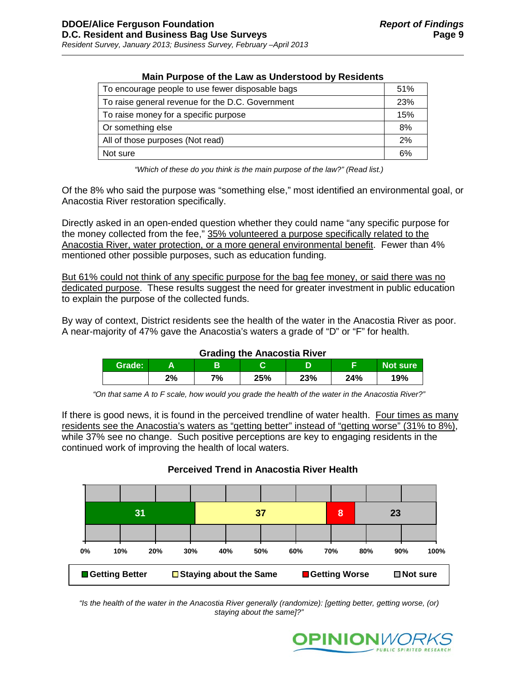| Main Purpose of the Law as Understood by Residents |     |
|----------------------------------------------------|-----|
| To encourage people to use fewer disposable bags   | 51% |
| To raise general revenue for the D.C. Government   | 23% |
| To raise money for a specific purpose              | 15% |
| Or something else                                  | 8%  |
| All of those purposes (Not read)                   | 2%  |
| Not sure                                           | 6%  |

# **Main Purpose of the Law as Understood by Residents**

*"Which of these do you think is the main purpose of the law?" (Read list.)*

Of the 8% who said the purpose was "something else," most identified an environmental goal, or Anacostia River restoration specifically.

Directly asked in an open-ended question whether they could name "any specific purpose for the money collected from the fee," 35% volunteered a purpose specifically related to the Anacostia River, water protection, or a more general environmental benefit. Fewer than 4% mentioned other possible purposes, such as education funding.

But 61% could not think of any specific purpose for the bag fee money, or said there was no dedicated purpose. These results suggest the need for greater investment in public education to explain the purpose of the collected funds.

By way of context, District residents see the health of the water in the Anacostia River as poor. A near-majority of 47% gave the Anacostia's waters a grade of "D" or "F" for health.

### **Grading the Anacostia River**

| Grade: |    |    |     | ∍<br>е | -   | Not sure |
|--------|----|----|-----|--------|-----|----------|
|        | 2% | 7% | 25% | 23%    | 24% | 19%      |

*"On that same A to F scale, how would you grade the health of the water in the Anacostia River?"*

If there is good news, it is found in the perceived trendline of water health. Four times as many residents see the Anacostia's waters as "getting better" instead of "getting worse" (31% to 8%), while 37% see no change. Such positive perceptions are key to engaging residents in the continued work of improving the health of local waters.

# **Perceived Trend in Anacostia River Health**

|                         |  | 31  |     |                               |     | 37                     |     | 8   |     | 23                 |  |      |
|-------------------------|--|-----|-----|-------------------------------|-----|------------------------|-----|-----|-----|--------------------|--|------|
|                         |  |     |     |                               |     |                        |     |     |     |                    |  |      |
| 0%                      |  | 10% | 20% | 30%                           | 40% | 50%                    | 60% | 70% | 80% | 90%                |  | 100% |
| <b>■ Getting Better</b> |  |     |     | $\Box$ Staying about the Same |     | <b>■ Getting Worse</b> |     |     |     | $\square$ Not sure |  |      |

*"Is the health of the water in the Anacostia River generally (randomize): [getting better, getting worse, (or) staying about the same]?"* 

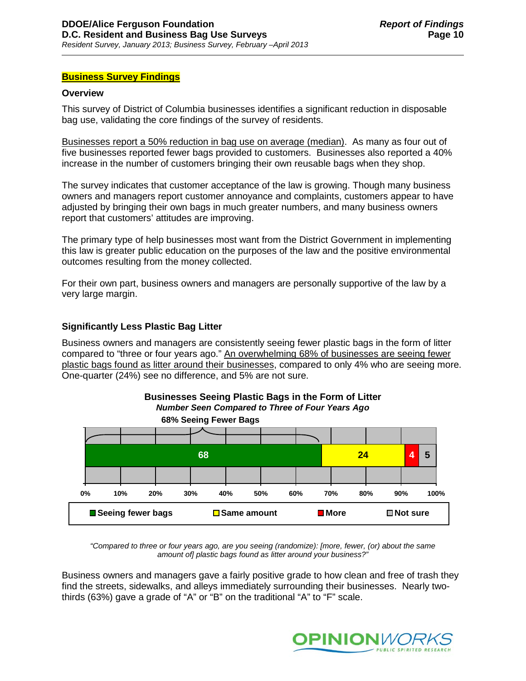### **Business Survey Findings**

#### **Overview**

This survey of District of Columbia businesses identifies a significant reduction in disposable bag use, validating the core findings of the survey of residents.

Businesses report a 50% reduction in bag use on average (median). As many as four out of five businesses reported fewer bags provided to customers. Businesses also reported a 40% increase in the number of customers bringing their own reusable bags when they shop.

The survey indicates that customer acceptance of the law is growing. Though many business owners and managers report customer annoyance and complaints, customers appear to have adjusted by bringing their own bags in much greater numbers, and many business owners report that customers' attitudes are improving.

The primary type of help businesses most want from the District Government in implementing this law is greater public education on the purposes of the law and the positive environmental outcomes resulting from the money collected.

For their own part, business owners and managers are personally supportive of the law by a very large margin.

### **Significantly Less Plastic Bag Litter**

Business owners and managers are consistently seeing fewer plastic bags in the form of litter compared to "three or four years ago." An overwhelming 68% of businesses are seeing fewer plastic bags found as litter around their businesses, compared to only 4% who are seeing more. One-quarter (24%) see no difference, and 5% are not sure.





*"Compared to three or four years ago, are you seeing (randomize): [more, fewer, (or) about the same amount of] plastic bags found as litter around your business?"*

Business owners and managers gave a fairly positive grade to how clean and free of trash they find the streets, sidewalks, and alleys immediately surrounding their businesses. Nearly twothirds (63%) gave a grade of "A" or "B" on the traditional "A" to "F" scale.

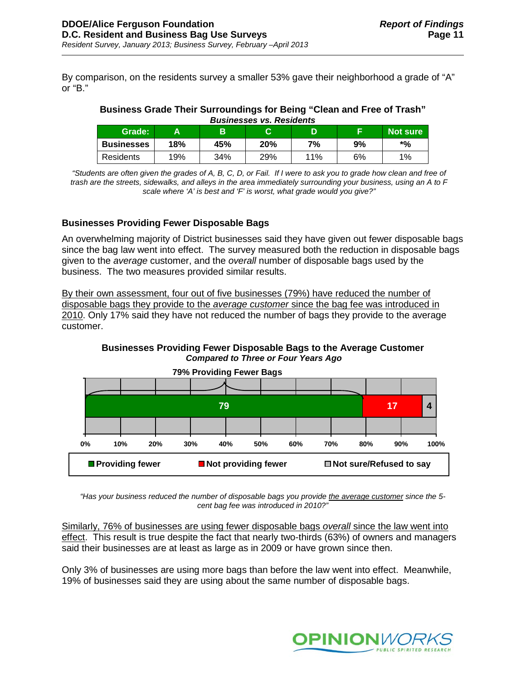By comparison, on the residents survey a smaller 53% gave their neighborhood a grade of "A" or "B."

#### **Business Grade Their Surroundings for Being "Clean and Free of Trash"** *Businesses vs. Residents*

| Grade:            | А   | в   | ⌒   |     |    | <b>Not sure</b> |
|-------------------|-----|-----|-----|-----|----|-----------------|
| <b>Businesses</b> | 18% | 45% | 20% | 7%  | 9% | *%              |
| Residents         | 19% | 34% | 29% | 11% | 6% | 1%              |

*"Students are often given the grades of A, B, C, D, or Fail. If I were to ask you to grade how clean and free of trash are the streets, sidewalks, and alleys in the area immediately surrounding your business, using an A to F scale where 'A' is best and 'F' is worst, what grade would you give?"*

# **Businesses Providing Fewer Disposable Bags**

An overwhelming majority of District businesses said they have given out fewer disposable bags since the bag law went into effect. The survey measured both the reduction in disposable bags given to the *average* customer, and the *overall* number of disposable bags used by the business. The two measures provided similar results.

By their own assessment, four out of five businesses (79%) have reduced the number of disposable bags they provide to the *average customer* since the bag fee was introduced in 2010. Only 17% said they have not reduced the number of bags they provide to the average customer.





*"Has your business reduced the number of disposable bags you provide the average customer since the 5 cent bag fee was introduced in 2010?"*

Similarly, 76% of businesses are using fewer disposable bags *overall* since the law went into effect. This result is true despite the fact that nearly two-thirds (63%) of owners and managers said their businesses are at least as large as in 2009 or have grown since then.

Only 3% of businesses are using more bags than before the law went into effect. Meanwhile, 19% of businesses said they are using about the same number of disposable bags.

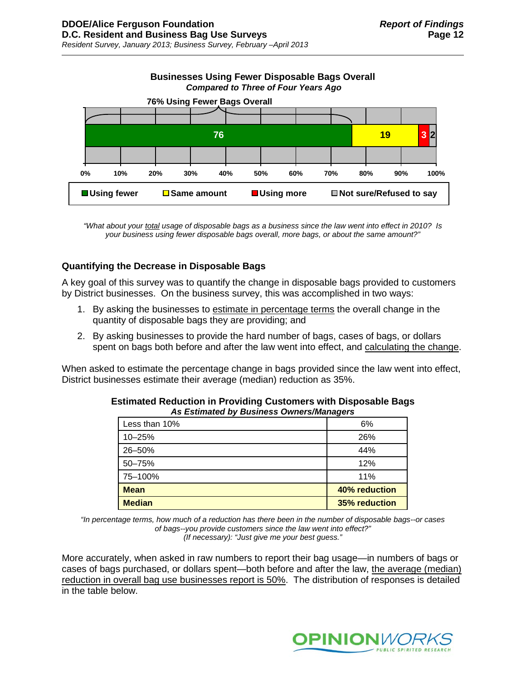

*"What about your total usage of disposable bags as a business since the law went into effect in 2010? Is your business using fewer disposable bags overall, more bags, or about the same amount?"*

### **Quantifying the Decrease in Disposable Bags**

A key goal of this survey was to quantify the change in disposable bags provided to customers by District businesses. On the business survey, this was accomplished in two ways:

- 1. By asking the businesses to estimate in percentage terms the overall change in the quantity of disposable bags they are providing; and
- 2. By asking businesses to provide the hard number of bags, cases of bags, or dollars spent on bags both before and after the law went into effect, and calculating the change.

When asked to estimate the percentage change in bags provided since the law went into effect, District businesses estimate their average (median) reduction as 35%.

| <b>Median</b> | <b>35% reduction</b> |
|---------------|----------------------|
| <b>Mean</b>   | 40% reduction        |
| 75-100%       | 11%                  |
| 50-75%        | 12%                  |
| 26-50%        | 44%                  |
| 10-25%        | 26%                  |
| Less than 10% | 6%                   |

| <b>Estimated Reduction in Providing Customers with Disposable Bags</b> |  |
|------------------------------------------------------------------------|--|
| As Estimated by Business Owners/Managers                               |  |

*"In percentage terms, how much of a reduction has there been in the number of disposable bags--or cases of bags--you provide customers since the law went into effect?"* 

*(If necessary): "Just give me your best guess."*

More accurately, when asked in raw numbers to report their bag usage—in numbers of bags or cases of bags purchased, or dollars spent—both before and after the law, the average (median) reduction in overall bag use businesses report is 50%. The distribution of responses is detailed in the table below.

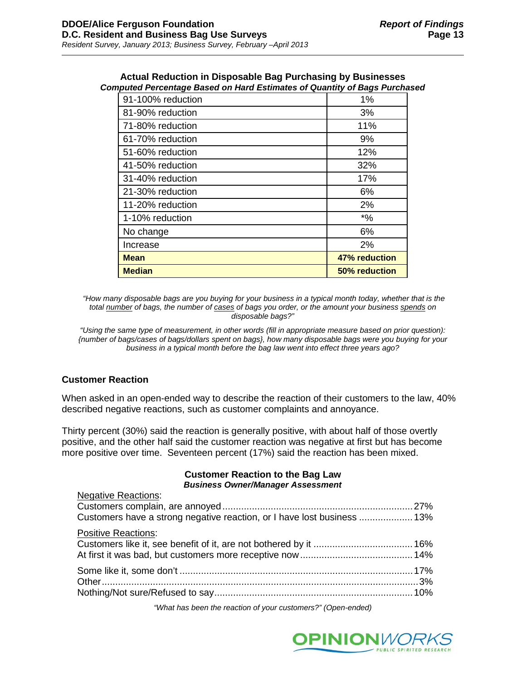| <b>Median</b>     | 50% reduction |
|-------------------|---------------|
| <b>Mean</b>       | 47% reduction |
| Increase          | 2%            |
| No change         | 6%            |
| 1-10% reduction   | $*9/6$        |
| 11-20% reduction  | 2%            |
| 21-30% reduction  | 6%            |
| 31-40% reduction  | 17%           |
| 41-50% reduction  | 32%           |
| 51-60% reduction  | 12%           |
| 61-70% reduction  | 9%            |
| 71-80% reduction  | 11%           |
| 81-90% reduction  | 3%            |
| 91-100% reduction | 1%            |

#### **Actual Reduction in Disposable Bag Purchasing by Businesses** *Computed Percentage Based on Hard Estimates of Quantity of Bags Purchased*

*"How many disposable bags are you buying for your business in a typical month today, whether that is the total number of bags, the number of cases of bags you order, or the amount your business spends on disposable bags?"*

*"Using the same type of measurement, in other words (fill in appropriate measure based on prior question): {number of bags/cases of bags/dollars spent on bags}, how many disposable bags were you buying for your business in a typical month before the bag law went into effect three years ago?*

# **Customer Reaction**

When asked in an open-ended way to describe the reaction of their customers to the law, 40% described negative reactions, such as customer complaints and annoyance.

Thirty percent (30%) said the reaction is generally positive, with about half of those overtly positive, and the other half said the customer reaction was negative at first but has become more positive over time. Seventeen percent (17%) said the reaction has been mixed.

#### **Customer Reaction to the Bag Law** *Business Owner/Manager Assessment*

| <b>Negative Reactions:</b><br>Customers have a strong negative reaction, or I have lost business  13% |  |
|-------------------------------------------------------------------------------------------------------|--|
| <b>Positive Reactions:</b>                                                                            |  |
|                                                                                                       |  |
|                                                                                                       |  |

*"What has been the reaction of your customers?" (Open-ended)*

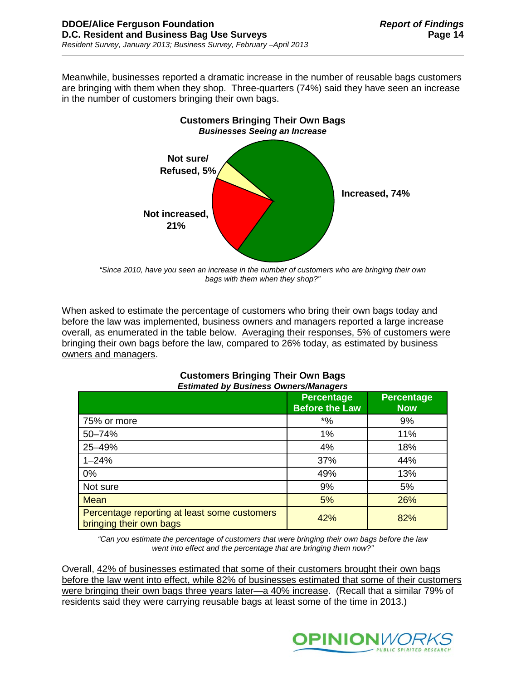Meanwhile, businesses reported a dramatic increase in the number of reusable bags customers are bringing with them when they shop. Three-quarters (74%) said they have seen an increase in the number of customers bringing their own bags.



*"Since 2010, have you seen an increase in the number of customers who are bringing their own bags with them when they shop?"*

When asked to estimate the percentage of customers who bring their own bags today and before the law was implemented, business owners and managers reported a large increase overall, as enumerated in the table below. Averaging their responses, 5% of customers were bringing their own bags before the law, compared to 26% today, as estimated by business owners and managers.

| Estimated by Business Owners/Managers                                   |                                            |                                 |  |
|-------------------------------------------------------------------------|--------------------------------------------|---------------------------------|--|
|                                                                         | <b>Percentage</b><br><b>Before the Law</b> | <b>Percentage</b><br><b>Now</b> |  |
| 75% or more                                                             | $^{\ast}$ %                                | 9%                              |  |
| 50-74%                                                                  | 1%                                         | 11%                             |  |
| 25-49%                                                                  | 4%                                         | 18%                             |  |
| $1 - 24%$                                                               | 37%                                        | 44%                             |  |
| 0%                                                                      | 49%                                        | 13%                             |  |
| Not sure                                                                | 9%                                         | 5%                              |  |
| <b>Mean</b>                                                             | 5%                                         | 26%                             |  |
| Percentage reporting at least some customers<br>bringing their own bags | 42%                                        | 82%                             |  |

### **Customers Bringing Their Own Bags** *Estimated by Business Owners/Managers*

*"Can you estimate the percentage of customers that were bringing their own bags before the law went into effect and the percentage that are bringing them now?"*

Overall, 42% of businesses estimated that some of their customers brought their own bags before the law went into effect, while 82% of businesses estimated that some of their customers were bringing their own bags three years later—a 40% increase. (Recall that a similar 79% of residents said they were carrying reusable bags at least some of the time in 2013.)

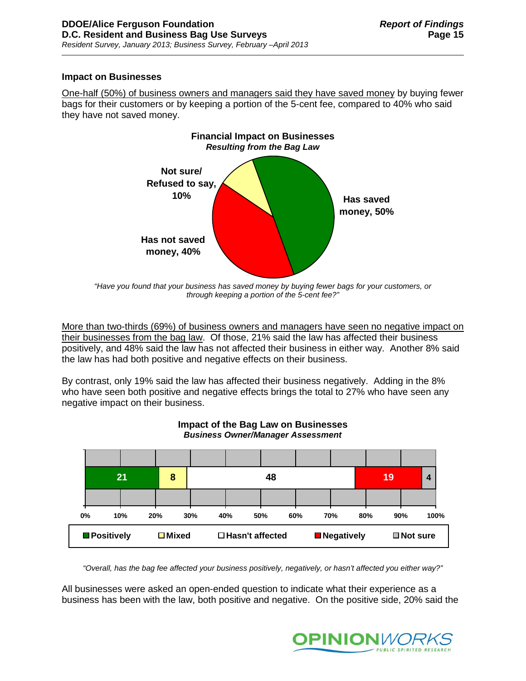### **Impact on Businesses**

One-half (50%) of business owners and managers said they have saved money by buying fewer bags for their customers or by keeping a portion of the 5-cent fee, compared to 40% who said they have not saved money.



*"Have you found that your business has saved money by buying fewer bags for your customers, or through keeping a portion of the 5-cent fee?"*

More than two-thirds (69%) of business owners and managers have seen no negative impact on their businesses from the bag law. Of those, 21% said the law has affected their business positively, and 48% said the law has not affected their business in either way. Another 8% said the law has had both positive and negative effects on their business.

By contrast, only 19% said the law has affected their business negatively. Adding in the 8% who have seen both positive and negative effects brings the total to 27% who have seen any negative impact on their business.



### **Impact of the Bag Law on Businesses** *Business Owner/Manager Assessment*

*"Overall, has the bag fee affected your business positively, negatively, or hasn't affected you either way?"*

All businesses were asked an open-ended question to indicate what their experience as a business has been with the law, both positive and negative. On the positive side, 20% said the

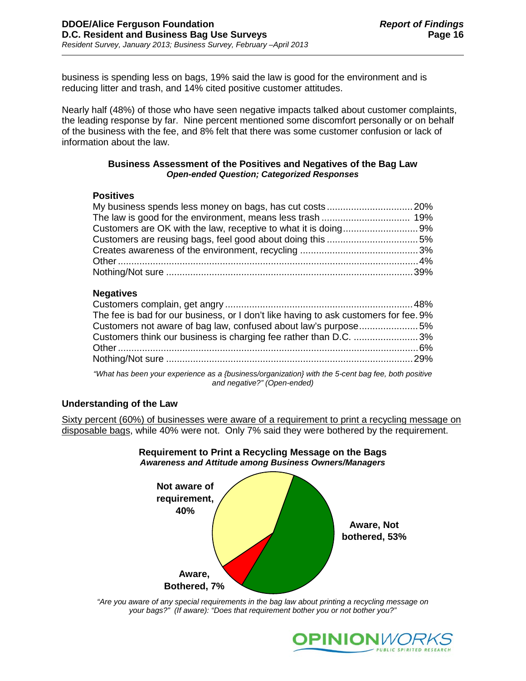business is spending less on bags, 19% said the law is good for the environment and is reducing litter and trash, and 14% cited positive customer attitudes.

Nearly half (48%) of those who have seen negative impacts talked about customer complaints, the leading response by far. Nine percent mentioned some discomfort personally or on behalf of the business with the fee, and 8% felt that there was some customer confusion or lack of information about the law.

### **Business Assessment of the Positives and Negatives of the Bag Law** *Open-ended Question; Categorized Responses*

### **Positives**

### **Negatives**

| The fee is bad for our business, or I don't like having to ask customers for fee. 9%                                                                                                                                            |  |
|---------------------------------------------------------------------------------------------------------------------------------------------------------------------------------------------------------------------------------|--|
| Customers not aware of bag law, confused about law's purpose5%                                                                                                                                                                  |  |
| Customers think our business is charging fee rather than D.C. 3%                                                                                                                                                                |  |
|                                                                                                                                                                                                                                 |  |
|                                                                                                                                                                                                                                 |  |
| $\sim$ 2008 . The contract of the contract of the contract of the contract of the contract of the contract of the contract of the contract of the contract of the contract of the contract of the contract of the contract of t |  |

*"What has been your experience as a {business/organization} with the 5-cent bag fee, both positive and negative?" (Open-ended)*

### **Understanding of the Law**

Sixty percent (60%) of businesses were aware of a requirement to print a recycling message on disposable bags, while 40% were not. Only 7% said they were bothered by the requirement.



### **Requirement to Print a Recycling Message on the Bags** *Awareness and Attitude among Business Owners/Managers*

*"Are you aware of any special requirements in the bag law about printing a recycling message on your bags?" (If aware): "Does that requirement bother you or not bother you?"*

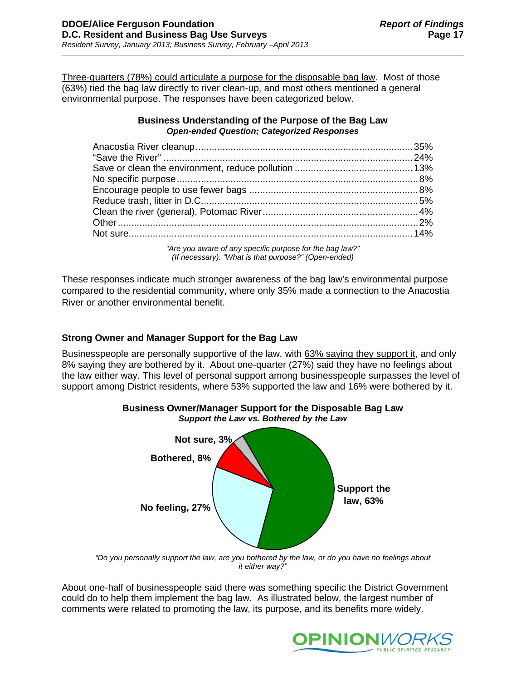Three-quarters (78%) could articulate a purpose for the disposable bag law. Most of those (63%) tied the bag law directly to river clean-up, and most others mentioned a general environmental purpose. The responses have been categorized below.

### **Business Understanding of the Purpose of the Bag Law** *Open-ended Question; Categorized Responses*

*"Are you aware of any specific purpose for the bag law?" (If necessary): "What is that purpose?" (Open-ended)* 

These responses indicate much stronger awareness of the bag law's environmental purpose compared to the residential community, where only 35% made a connection to the Anacostia River or another environmental benefit.

# **Strong Owner and Manager Support for the Bag Law**

Businesspeople are personally supportive of the law, with 63% saying they support it, and only 8% saying they are bothered by it. About one-quarter (27%) said they have no feelings about the law either way. This level of personal support among businesspeople surpasses the level of support among District residents, where 53% supported the law and 16% were bothered by it.



*"Do you personally support the law, are you bothered by the law, or do you have no feelings about it either way?"*

About one-half of businesspeople said there was something specific the District Government could do to help them implement the bag law. As illustrated below, the largest number of comments were related to promoting the law, its purpose, and its benefits more widely.